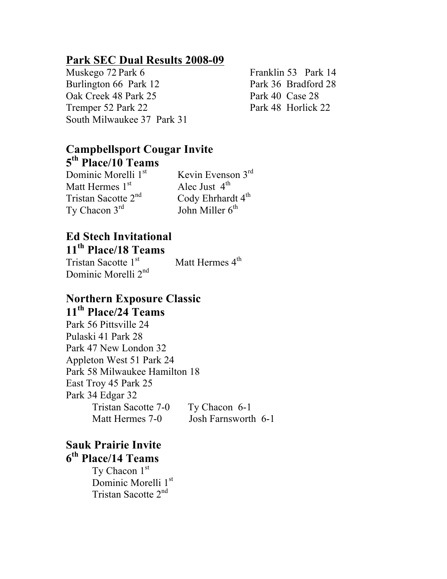#### **Park SEC Dual Results 2008-09**

Muskego 72 Park 6 Franklin 53 Park 14 Burlington 66 Park 12 Park 36 Bradford 28 Oak Creek 48 Park 25 Park 40 Case 28 Tremper 52 Park 22 Park 48 Horlick 22 South Milwaukee 37 Park 31

### **Campbellsport Cougar Invite 5th Place/10 Teams**

Dominic Morelli 1<sup>st</sup> Matt Hermes 1st Tristan Sacotte 2<sup>nd</sup> Ty Chacon  $3^{rd}$  John Miller  $6^{th}$ 

 Kevin Evenson 3rd Alec Just  $4^{\text{th}}$ <br>Cody Ehrhardt  $4^{\text{th}}$ 

# **Ed Stech Invitational**

### **11th Place/18 Teams**

Tristan Sacotte 1<sup>st</sup> Dominic Morelli 2<sup>nd</sup>

Matt Hermes 4<sup>th</sup>

### **Northern Exposure Classic 11th Place/24 Teams**

Park 56 Pittsville 24 Pulaski 41 Park 28 Park 47 New London 32 Appleton West 51 Park 24 Park 58 Milwaukee Hamilton 18 East Troy 45 Park 25 Park 34 Edgar 32 Tristan Sacotte 7-0 Ty Chacon 6-1 Matt Hermes 7-0 Josh Farnsworth 6-1

## **Sauk Prairie Invite 6th Place/14 Teams**

Ty Chacon 1st Dominic Morelli 1st Tristan Sacotte 2nd